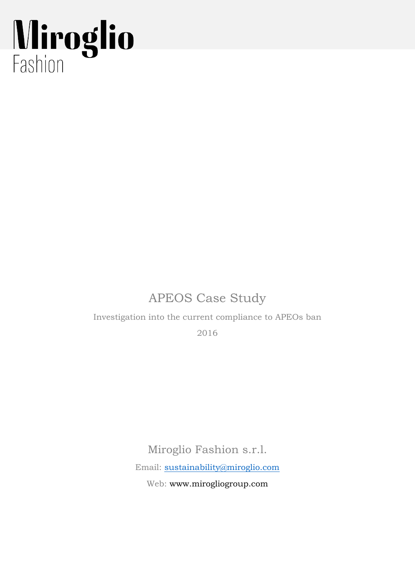## Miroglio

## APEOS Case Study

Investigation into the current compliance to APEOs ban

2016

Miroglio Fashion s.r.l.

Email: [sustainability@miroglio.com](mailto:sustainability@miroglio.com)

Web: www.mirogliogroup.com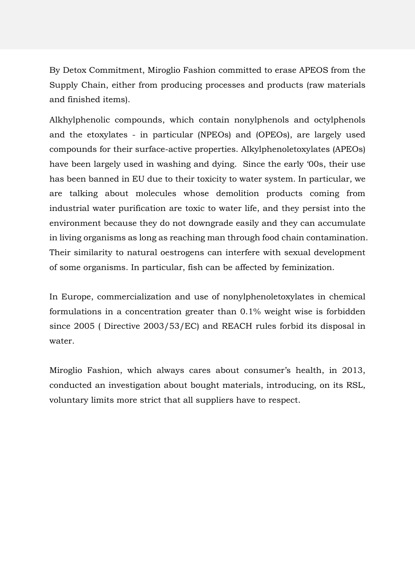By Detox Commitment, Miroglio Fashion committed to erase APEOS from the Supply Chain, either from producing processes and products (raw materials and finished items).

Alkhylphenolic compounds, which contain nonylphenols and octylphenols and the etoxylates - in particular (NPEOs) and (OPEOs), are largely used compounds for their surface-active properties. Alkylphenoletoxylates (APEOs) have been largely used in washing and dying. Since the early '00s, their use has been banned in EU due to their toxicity to water system. In particular, we are talking about molecules whose demolition products coming from industrial water purification are toxic to water life, and they persist into the environment because they do not downgrade easily and they can accumulate in living organisms as long as reaching man through food chain contamination. Their similarity to natural oestrogens can interfere with sexual development of some organisms. In particular, fish can be affected by feminization.

In Europe, commercialization and use of nonylphenoletoxylates in chemical formulations in a concentration greater than 0.1% weight wise is forbidden since 2005 ( Directive 2003/53/EC) and REACH rules forbid its disposal in water.

Miroglio Fashion, which always cares about consumer's health, in 2013, conducted an investigation about bought materials, introducing, on its RSL, voluntary limits more strict that all suppliers have to respect.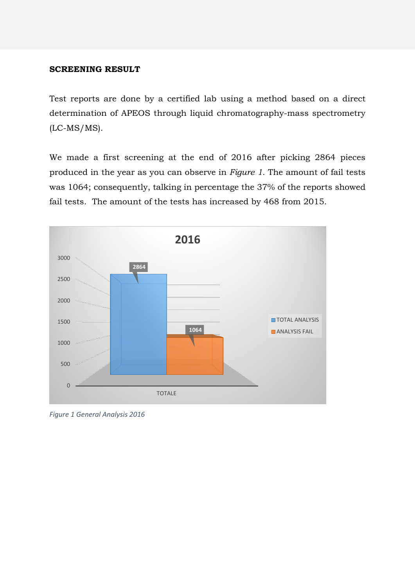## **SCREENING RESULT**

Test reports are done by a certified lab using a method based on a direct determination of APEOS through liquid chromatography-mass spectrometry (LC-MS/MS).

We made a first screening at the end of 2016 after picking 2864 pieces produced in the year as you can observe in *Figure 1*. The amount of fail tests was 1064; consequently, talking in percentage the 37% of the reports showed fail tests. The amount of the tests has increased by 468 from 2015.



*Figure 1 General Analysis 2016*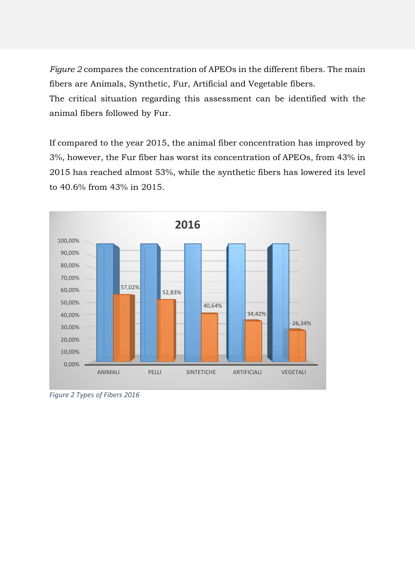*Figure 2* compares the concentration of APEOs in the different fibers. The main fibers are Animals, Synthetic, Fur, Artificial and Vegetable fibers.

The critical situation regarding this assessment can be identified with the animal fibers followed by Fur.

If compared to the year 2015, the animal fiber concentration has improved by 3%, however, the Fur fiber has worst its concentration of APEOs, from 43% in 2015 has reached almost 53%, while the synthetic fibers has lowered its level to 40.6% from 43% in 2015.



*Figure 2 Types of Fibers 2016*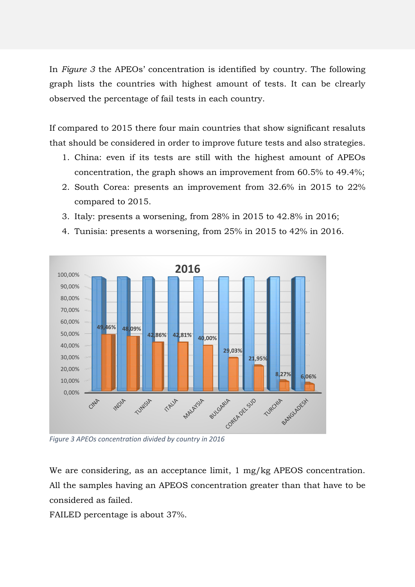In *Figure 3* the APEOs' concentration is identified by country. The following graph lists the countries with highest amount of tests. It can be clrearly observed the percentage of fail tests in each country.

If compared to 2015 there four main countries that show significant resaluts that should be considered in order to improve future tests and also strategies.

- 1. China: even if its tests are still with the highest amount of APEOs concentration, the graph shows an improvement from 60.5% to 49.4%;
- 2. South Corea: presents an improvement from 32.6% in 2015 to 22% compared to 2015.
- 3. Italy: presents a worsening, from 28% in 2015 to 42.8% in 2016;
- 4. Tunisia: presents a worsening, from 25% in 2015 to 42% in 2016.



*Figure 3 APEOs concentration divided by country in 2016*

We are considering, as an acceptance limit, 1 mg/kg APEOS concentration. All the samples having an APEOS concentration greater than that have to be considered as failed.

FAILED percentage is about 37%.